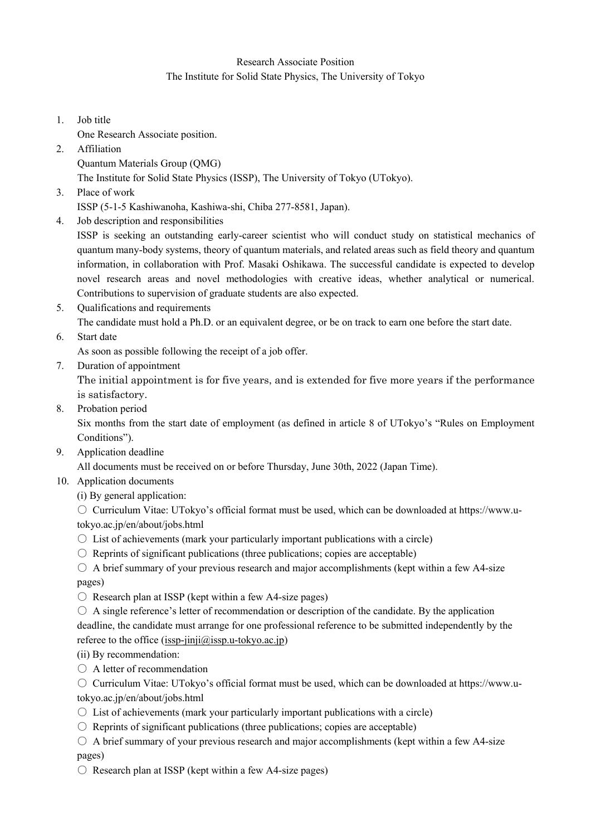## Research Associate Position The Institute for Solid State Physics, The University of Tokyo

1. Job title

One Research Associate position.

2. Affiliation

Quantum Materials Group (QMG)

The Institute for Solid State Physics (ISSP), The University of Tokyo (UTokyo).

3. Place of work

ISSP (5-1-5 Kashiwanoha, Kashiwa-shi, Chiba 277-8581, Japan).

4. Job description and responsibilities

ISSP is seeking an outstanding early-career scientist who will conduct study on statistical mechanics of quantum many-body systems, theory of quantum materials, and related areas such as field theory and quantum information, in collaboration with Prof. Masaki Oshikawa. The successful candidate is expected to develop novel research areas and novel methodologies with creative ideas, whether analytical or numerical. Contributions to supervision of graduate students are also expected.

5. Qualifications and requirements

The candidate must hold a Ph.D. or an equivalent degree, or be on track to earn one before the start date.

6. Start date

As soon as possible following the receipt of a job offer.

7. Duration of appointment

The initial appointment is for five years, and is extended for five more years if the performance is satisfactory.

8. Probation period

Six months from the start date of employment (as defined in article 8 of UTokyo's "Rules on Employment Conditions").

9. Application deadline

All documents must be received on or before Thursday, June 30th, 2022 (Japan Time).

- 10. Application documents
	- (i) By general application:

○ Curriculum Vitae: UTokyo's official format must be used, which can be downloaded at https://www.utokyo.ac.jp/en/about/jobs.html

- $\circ$  List of achievements (mark your particularly important publications with a circle)
- $\circ$  Reprints of significant publications (three publications; copies are acceptable)
- $\circ$  A brief summary of your previous research and major accomplishments (kept within a few A4-size pages)
- $\bigcirc$  Research plan at ISSP (kept within a few A4-size pages)
- $\circ$  A single reference's letter of recommendation or description of the candidate. By the application deadline, the candidate must arrange for one professional reference to be submitted independently by the referee to the office (issp-jinji $(a)$ issp.u-tokyo.ac.jp)

(ii) By recommendation:

- A letter of recommendation
- Curriculum Vitae: UTokyo's official format must be used, which can be downloaded at https://www.utokyo.ac.jp/en/about/jobs.html
- $\circ$  List of achievements (mark your particularly important publications with a circle)
- $\circ$  Reprints of significant publications (three publications; copies are acceptable)
- $\circ$  A brief summary of your previous research and major accomplishments (kept within a few A4-size pages)
- $\circ$  Research plan at ISSP (kept within a few A4-size pages)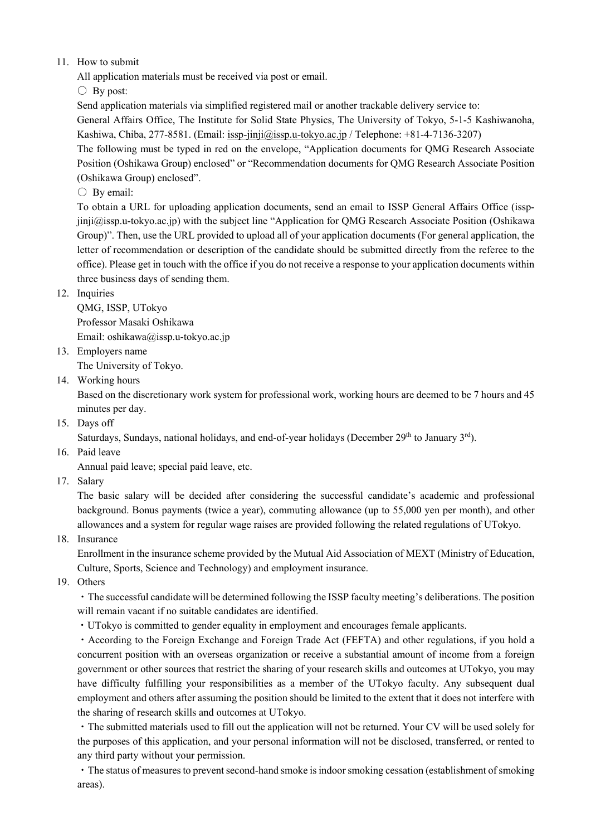## 11. How to submit

All application materials must be received via post or email.

 $\bigcirc$  By post:

Send application materials via simplified registered mail or another trackable delivery service to:

General Affairs Office, The Institute for Solid State Physics, The University of Tokyo, 5-1-5 Kashiwanoha, Kashiwa, Chiba, 277-8581. (Email: issp-jinji@issp.u-tokyo.ac.jp / Telephone: +81-4-7136-3207)

The following must be typed in red on the envelope, "Application documents for QMG Research Associate Position (Oshikawa Group) enclosed" or "Recommendation documents for QMG Research Associate Position (Oshikawa Group) enclosed".

 $\bigcirc$  By email:

To obtain a URL for uploading application documents, send an email to ISSP General Affairs Office (isspjinji@issp.u-tokyo.ac.jp) with the subject line "Application for QMG Research Associate Position (Oshikawa Group)". Then, use the URL provided to upload all of your application documents (For general application, the letter of recommendation or description of the candidate should be submitted directly from the referee to the office). Please get in touch with the office if you do not receive a response to your application documents within three business days of sending them.

## 12. Inquiries

QMG, ISSP, UTokyo Professor Masaki Oshikawa Email: oshikawa@issp.u-tokyo.ac.jp

13. Employers name

The University of Tokyo.

14. Working hours

Based on the discretionary work system for professional work, working hours are deemed to be 7 hours and 45 minutes per day.

15. Days off

Saturdays, Sundays, national holidays, and end-of-year holidays (December 29<sup>th</sup> to January 3<sup>rd</sup>).

16. Paid leave

Annual paid leave; special paid leave, etc.

17. Salary

The basic salary will be decided after considering the successful candidate's academic and professional background. Bonus payments (twice a year), commuting allowance (up to 55,000 yen per month), and other allowances and a system for regular wage raises are provided following the related regulations of UTokyo.

18. Insurance

Enrollment in the insurance scheme provided by the Mutual Aid Association of MEXT (Ministry of Education, Culture, Sports, Science and Technology) and employment insurance.

19. Others

・The successful candidate will be determined following the ISSP faculty meeting's deliberations. The position will remain vacant if no suitable candidates are identified.

・UTokyo is committed to gender equality in employment and encourages female applicants.

・According to the Foreign Exchange and Foreign Trade Act (FEFTA) and other regulations, if you hold a concurrent position with an overseas organization or receive a substantial amount of income from a foreign government or other sources that restrict the sharing of your research skills and outcomes at UTokyo, you may have difficulty fulfilling your responsibilities as a member of the UTokyo faculty. Any subsequent dual employment and others after assuming the position should be limited to the extent that it does not interfere with the sharing of research skills and outcomes at UTokyo.

・The submitted materials used to fill out the application will not be returned. Your CV will be used solely for the purposes of this application, and your personal information will not be disclosed, transferred, or rented to any third party without your permission.

・The status of measures to prevent second-hand smoke is indoor smoking cessation (establishment of smoking areas).